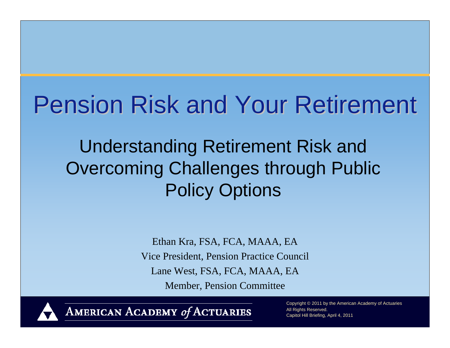# Pension Risk and Your Retirement

Understanding Retirement Risk and Overcoming Challenges through Public Policy Options

> Ethan Kra, FSA, FCA, MAAA, EA Vice President, Pension Practice Council Lane West, FSA, FCA, MAAA, EA Member, Pension Committee



AMERICAN ACADEMY of ACTUARIES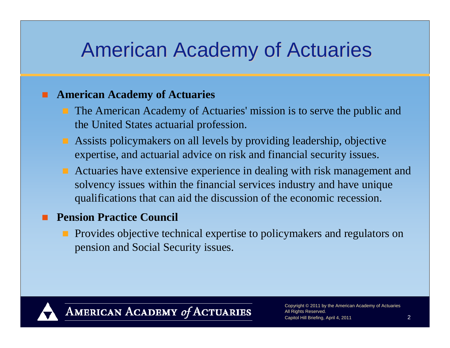#### American Academy of Actuaries

#### **American Academy of Actuaries**

- **The American Academy of Actuaries' mission is to serve the public and** the United States actuarial profession.
- Assists policymakers on all levels by providing leadership, objective expertise, and actuarial advice on risk and financial security issues.
- **Actuaries have extensive experience in dealing with risk management and** solvency issues within the financial services industry and have unique qualifications that can aid the discussion of the economic recession.

#### П **Pension Practice Council**

**Provides objective technical expertise to policymakers and regulators on** pension and Social Security issues.



AMERICAN ACADEMY of ACTUARIES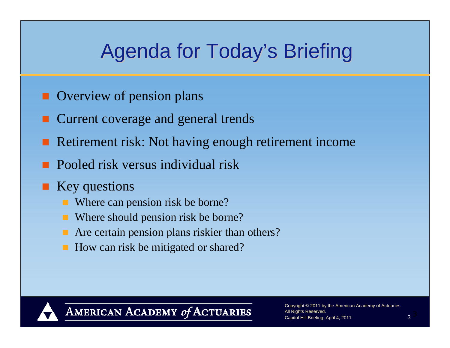## Agenda for Today's Briefing

- **Overview of pension plans**
- Current coverage and general trends
- Retirement risk: Not having enough retirement income
- **Pooled risk versus individual risk**
- **Key questions** 
	- Where can pension risk be borne?
	- Where should pension risk be borne?
	- **Are certain pension plans riskier than others?**
	- How can risk be mitigated or shared?



AMERICAN ACADEMY of ACTUARIES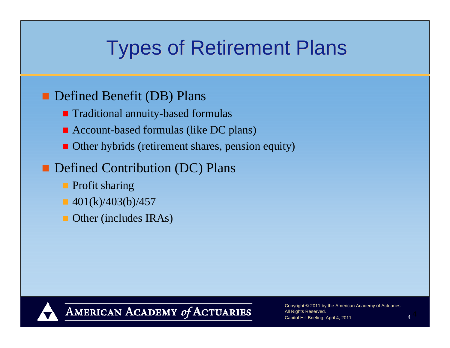# **Types of Retirement Plans**

#### **Defined Benefit (DB) Plans**

- **Traditional annuity-based formulas**
- Account-based formulas (like DC plans)
- **Other hybrids (retirement shares, pension equity)**

#### **Defined Contribution (DC) Plans**

- **Profit sharing**
- $\blacksquare$  401(k)/403(b)/457
- **Other (includes IRAs)**



AMERICAN ACADEMY of ACTUARIES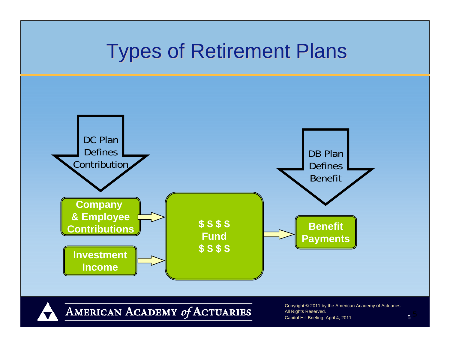#### **Types of Retirement Plans**



AMERICAN ACADEMY of ACTUARIES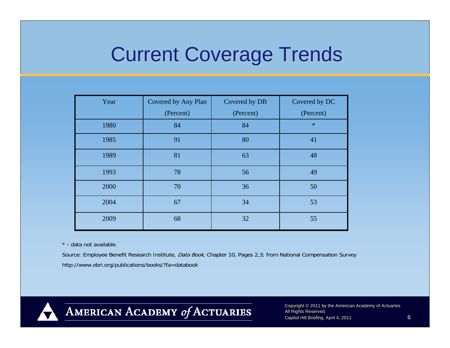#### **Current Coverage Trends**

| Year | Covered by Any Plan | Covered by DB | Covered by DC |
|------|---------------------|---------------|---------------|
|      | (Percent)           | (Percent)     | (Percent)     |
| 1980 | 84                  | 84            | $\ast$        |
| 1985 | 91                  | 80            | 41            |
| 1989 | 81                  | 63            | 48            |
| 1993 | 78                  | 56            | 49            |
| 2000 | 70                  | 36            | 50            |
| 2004 | 67                  | 34            | 53            |
| 2009 | 68                  | 32            | 55            |

\* - data not available.

Source: Employee Benefit Research Institute, Data Book, Chapter 10, Pages 2,3; from National Compensation Survey http://www.ebri.org/publications/books/?fa=databook



AMERICAN ACADEMY of ACTUARIES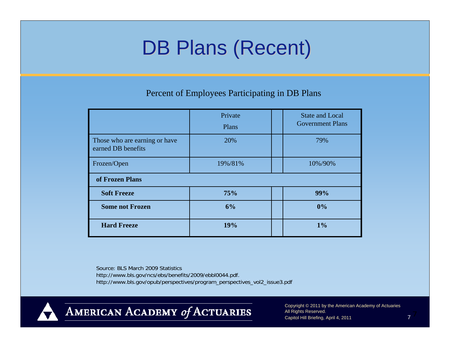## DB Plans (Recent)

Percent of Employees Participating in DB Plans

|                                                     | Private<br>Plans | <b>State and Local</b><br><b>Government Plans</b> |
|-----------------------------------------------------|------------------|---------------------------------------------------|
| Those who are earning or have<br>earned DB benefits | 20%              | 79%                                               |
| Frozen/Open                                         | 19%/81%          | 10%/90%                                           |
| of Frozen Plans                                     |                  |                                                   |
| <b>Soft Freeze</b>                                  | 75%              | 99%                                               |
| <b>Some not Frozen</b>                              | 6%               | 0%                                                |
| <b>Hard Freeze</b>                                  | 19%              | 1%                                                |

Source: BLS March 2009 Statistics http://www.bls.gov/ncs/ebs/benefits/2009/ebbl0044.pdf. http://www.bls.gov/opub/perspectives/program\_perspectives\_vol2\_issue3.pdf



AMERICAN ACADEMY of ACTUARIES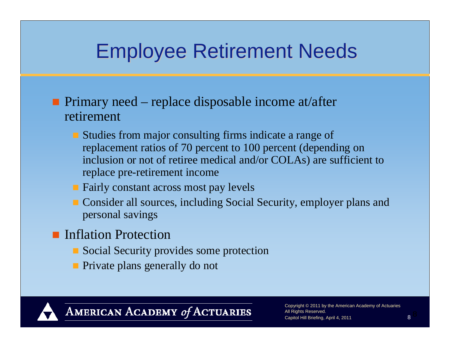#### Employee Retirement Needs Employee Retirement Needs

- **Primary need** replace disposable income at/after retirement
	- **Studies from major consulting firms indicate a range of** replacement ratios of 70 percent to 100 percent (depending on inclusion or not of retiree medical and/or COLAs) are sufficient to replace pre-retirement income
	- **Fairly constant across most pay levels**
	- **Consider all sources, including Social Security, employer plans and** personal savings
- **Inflation Protection** 
	- **Social Security provides some protection**
	- **Private plans generally do not**

#### AMERICAN ACADEMY of ACTUARIES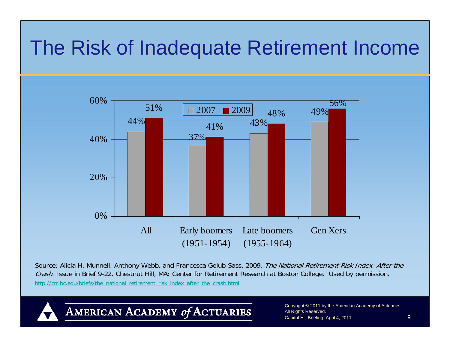### The Risk of Inadequate Retirement Income



Source: Alicia H. Munnell, Anthony Webb, and Francesca Golub-Sass. 2009. The National Retirement Risk Index: After the Crash. Issue in Brief 9-22. Chestnut Hill, MA: Center for Retirement Research at Boston College. Used by permission. http://crr.bc.edu/briefs/the\_national\_retirement\_risk\_index\_after\_the\_crash.html

AMERICAN ACADEMY of ACTUARIES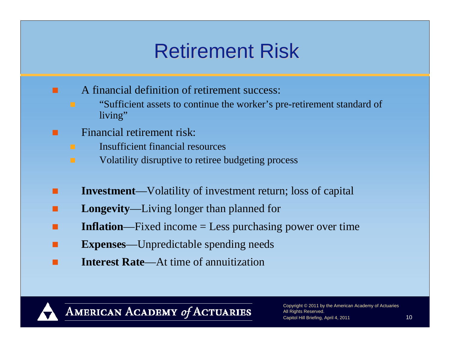## **Retirement Risk**

- A financial definition of retirement success:
	- "Sufficient assets to continue the worker's pre-retirement standard of living"
	- Financial retirement risk:
		- Insufficient financial resources
		- Volatility disruptive to retiree budgeting process
- **Investment**—Volatility of investment return; loss of capital
- П **Longevity**—Living longer than planned for
- . **Inflation**—Fixed income = Less purchasing power over time
- **Expenses**—Unpredictable spending needs
- $\Box$ **Interest Rate**—At time of annuitization



П

AMERICAN ACADEMY of ACTUARIES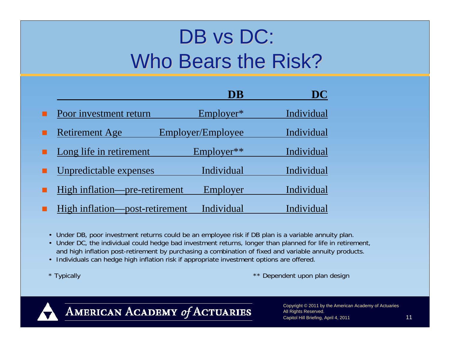# DB vs DC: Who Bears the Risk?

|                                | DB                | DC         |
|--------------------------------|-------------------|------------|
| Poor investment return         | $Emplover*$       | Individual |
| <b>Retirement Age</b>          | Employer/Employee | Individual |
| Long life in retirement        | Employer**        | Individual |
| Unpredictable expenses         | Individual        | Individual |
| High inflation—pre-retirement  | Employer          | Individual |
| High inflation—post-retirement | Individual        | Individual |

- Under DB, poor investment returns could be an employee risk if DB plan is a variable annuity plan.
- Under DC, the individual could hedge bad investment returns, longer than planned for life in retirement, and high inflation post-retirement by purchasing a combination of fixed and variable annuity products.
- Individuals can hedge high inflation risk if appropriate investment options are offered.
- 

\* Typically **\*\*** Dependent upon plan design



AMERICAN ACADEMY of ACTUARIES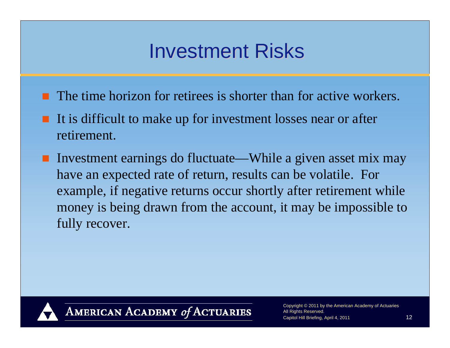### **Investment Risks**

- **The time horizon for retirees is shorter than for active workers.**
- It is difficult to make up for investment losses near or after retirement.
- Investment earnings do fluctuate—While a given asset mix may have an expected rate of return, results can be volatile. For example, if negative returns occur shortly after retirement while money is being drawn from the account, it may be impossible to fully recover.



AMERICAN ACADEMY of ACTUARIES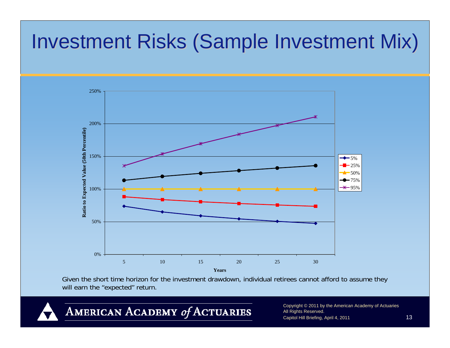## Investment Risks (Sample Investment Mix)



Given the short time horizon for the investment drawdown, individual retirees cannot afford to assume they will earn the "expected" return.

AMERICAN ACADEMY of ACTUARIES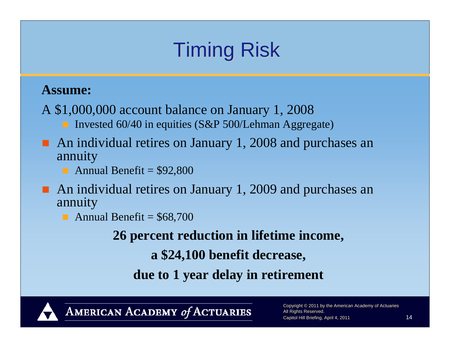# **Timing Risk**

#### **Assume:**

A \$1,000,000 account balance on January 1, 2008 Invested 60/40 in equities (S&P 500/Lehman Aggregate)

- An individual retires on January 1, 2008 and purchases an annuity
	- Annual Benefit  $= $92,800$
- An individual retires on January 1, 2009 and purchases an annuity
	- Annual Benefit =  $$68,700$

**26 percent reduction in lifetime income,** 

**a \$24,100 benefit decrease,**

**due to 1 year delay in retirement**



AMERICAN ACADEMY of ACTUARIES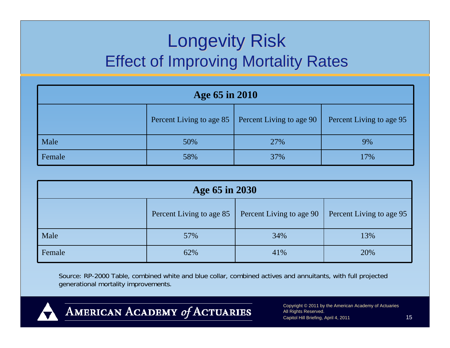#### **Longevity Risk Effect of Improving Mortality Rates**

| Age 65 in 2010 |                                                                                  |     |     |  |  |
|----------------|----------------------------------------------------------------------------------|-----|-----|--|--|
|                | Percent Living to age 90<br>Percent Living to age 85<br>Percent Living to age 95 |     |     |  |  |
| Male           | 50%                                                                              | 27% | 9%  |  |  |
| Female         | 58%                                                                              | 37% | 17% |  |  |

| Age 65 in 2030 |                                                                                  |     |     |  |  |
|----------------|----------------------------------------------------------------------------------|-----|-----|--|--|
|                | Percent Living to age 85<br>Percent Living to age 90<br>Percent Living to age 95 |     |     |  |  |
| Male           | 57%                                                                              | 34% | 13% |  |  |
| Female         | 62%                                                                              | 41% | 20% |  |  |

Source: RP-2000 Table, combined white and blue collar, combined actives and annuitants, with full projected generational mortality improvements.



AMERICAN ACADEMY of ACTUARIES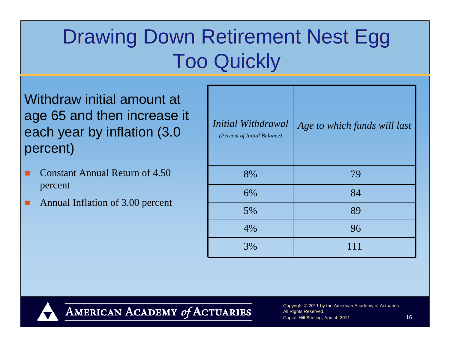# Drawing Down Retirement Nest Egg **Too Quickly**

Withdraw initial amount at age 65 and then increase it each year by inflation (3.0 percent)

- Constant Annual Return of 4.50 percent
- Annual Inflation of 3.00 percent

| Initial Withdrawal<br>(Percent of Initial Balance) | Age to which funds will last |
|----------------------------------------------------|------------------------------|
| 8%                                                 | 79                           |
| 6%                                                 | 84                           |
| 5%                                                 | 89                           |
| 4%                                                 | 96                           |
| 3%                                                 | 111                          |



AMERICAN ACADEMY of ACTUARIES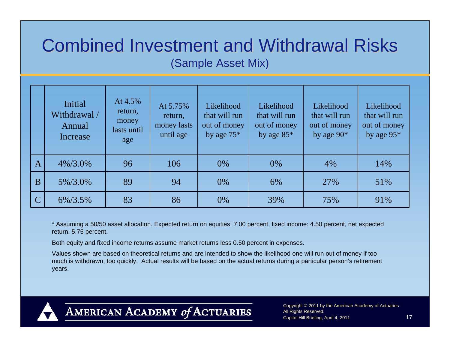#### **Combined Investment and Withdrawal Risks** (Sample Asset Mix) (Sample Asset Mix)

|                | Initial<br>Withdrawal /<br>Annual<br>Increase | At 4.5%<br>return,<br>money<br>lasts until<br>age | At 5.75%<br>return,<br>money lasts<br>until age | Likelihood<br>that will run<br>out of money<br>by age $75*$ | Likelihood<br>that will run<br>out of money<br>by age $85*$ | Likelihood<br>that will run<br>out of money<br>by age $90*$ | Likelihood<br>that will run<br>out of money<br>by age $95*$ |
|----------------|-----------------------------------------------|---------------------------------------------------|-------------------------------------------------|-------------------------------------------------------------|-------------------------------------------------------------|-------------------------------------------------------------|-------------------------------------------------------------|
| A              | $4\%/3.0\%$                                   | 96                                                | 106                                             | 0%                                                          | $0\%$                                                       | 4%                                                          | 14%                                                         |
| B              | 5%/3.0%                                       | 89                                                | 94                                              | 0%                                                          | 6%                                                          | 27%                                                         | 51%                                                         |
| $\overline{C}$ | 6%/3.5%                                       | 83                                                | 86                                              | 0%                                                          | 39%                                                         | 75%                                                         | 91%                                                         |

\* Assuming a 50/50 asset allocation. Expected return on equities: 7.00 percent, fixed income: 4.50 percent, net expected return: 5.75 percent.

Both equity and fixed income returns assume market returns less 0.50 percent in expenses.

Values shown are based on theoretical returns and are intended to show the likelihood one will run out of money if too much is withdrawn, too quickly. Actual results will be based on the actual returns during a particular person's retirement years.



AMERICAN ACADEMY of ACTUARIES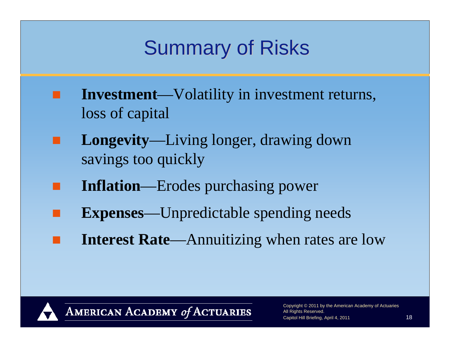# **Summary of Risks**

- **Investment**—Volatility in investment returns, loss of capital
- **Longevity**—Living longer, drawing down savings too quickly
- **Inflation**—Erodes purchasing power
- **Expenses**—Unpredictable spending needs
- **Interest Rate**—Annuitizing when rates are low



AMERICAN ACADEMY of ACTUARIES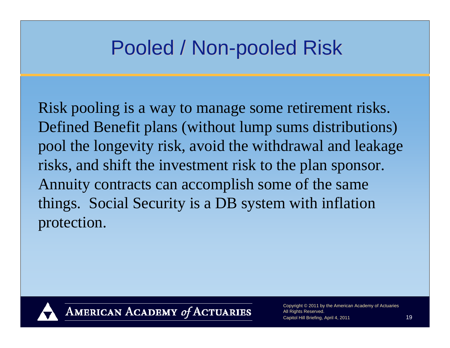### Pooled / Non-pooled Risk

Risk pooling is a way to manage some retirement risks. Defined Benefit plans (without lump sums distributions) pool the longevity risk, avoid the withdrawal and leakage risks, and shift the investment risk to the plan sponsor. Annuity contracts can accomplish some of the same things. Social Security is a DB system with inflation protection.



AMERICAN ACADEMY of ACTUARIES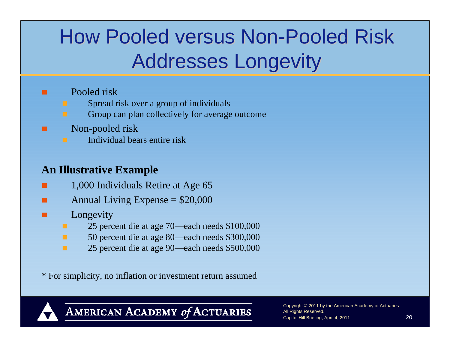# How Pooled versus Non-Pooled Risk Addresses Longevity Addresses Longevity

#### Pooled risk

.

- Spread risk over a group of individuals
- Group can plan collectively for average outcome
- Non-pooled risk
- Individual bears entire risk

#### **An Illustrative Example**

- 1,000 Individuals Retire at Age 65
- Annual Living Expense  $= $20,000$
- Longevity
	- 25 percent die at age 70—each needs \$100,000
	- ٠ 50 percent die at age 80—each needs \$300,000
	- п 25 percent die at age 90—each needs \$500,000

\* For simplicity, no inflation or investment return assumed



AMERICAN ACADEMY of ACTUARIES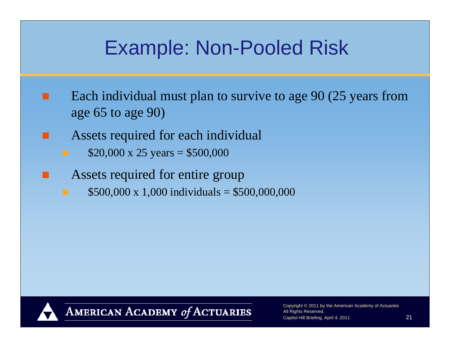### Example: Non-Pooled Risk

- Each individual must plan to survive to age 90 (25 years from age 65 to age 90)
	- Assets required for each individual
		- $$20,000 \times 25 \text{ years} = $500,000$
	- Assets required for entire group
		- $$500,000 \times 1,000$  individuals = \$500,000,000



AMERICAN ACADEMY of ACTUARIES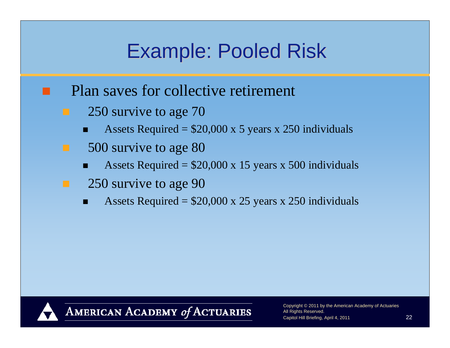### Example: Pooled Risk

- Plan saves for collective retirement
	- 250 survive to age 70
		- Assets Required =  $$20,000 \times 5$  years x 250 individuals
- 500 survive to age 80
	- Assets Required =  $$20,000 \times 15$  years x 500 individuals
- 250 survive to age 90
	- Assets Required =  $$20,000 \times 25$  years x 250 individuals



AMERICAN ACADEMY of ACTUARIES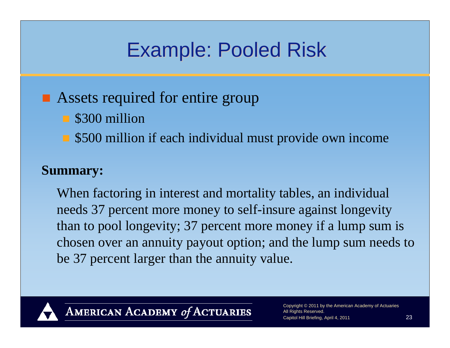### Example: Pooled Risk

#### **Assets required for entire group**

- S300 million
- \$500 million if each individual must provide own income

#### **Summary:**

When factoring in interest and mortality tables, an individual needs 37 percent more money to self-insure against longevity than to pool longevity; 37 percent more money if a lump sum is chosen over an annuity payout option; and the lump sum needs to be 37 percent larger than the annuity value.



AMERICAN ACADEMY of ACTUARIES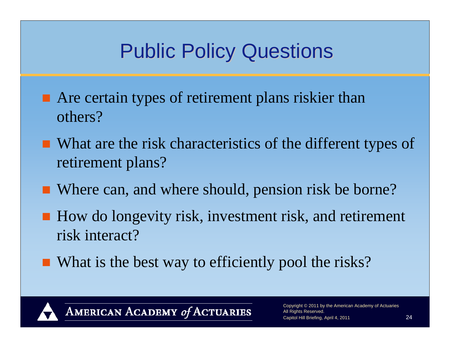# **Public Policy Questions**

- Are certain types of retirement plans riskier than others?
- What are the risk characteristics of the different types of retirement plans?
- Where can, and where should, pension risk be borne?
- How do longevity risk, investment risk, and retirement risk interact?
- What is the best way to efficiently pool the risks?



AMERICAN ACADEMY of ACTUARIES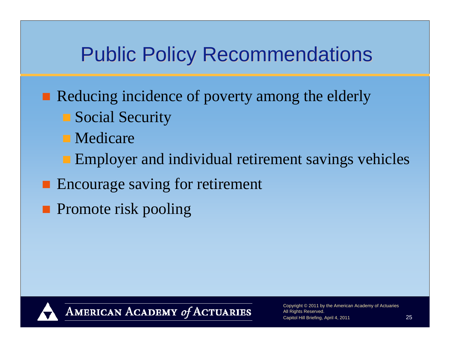### **Public Policy Recommendations**

- Reducing incidence of poverty among the elderly
	- Social Security
	- **Nedicare**
	- **Employer and individual retirement savings vehicles**
- **Encourage saving for retirement**
- **Promote risk pooling**



AMERICAN ACADEMY of ACTUARIES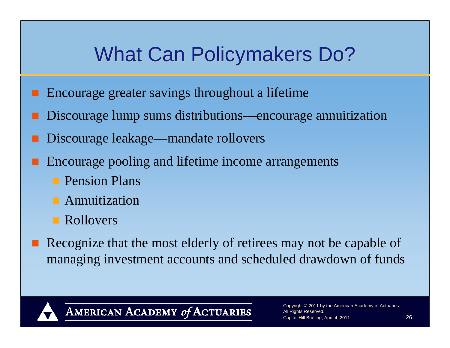## What Can Policymakers Do?

- Encourage greater savings throughout a lifetime
- Discourage lump sums distributions—encourage annuitization
- Discourage leakage—mandate rollovers
- Encourage pooling and lifetime income arrangements
	- **Pension Plans**
	- **Annuitization**
	- **Rollovers**
- Recognize that the most elderly of retirees may not be capable of managing investment accounts and scheduled drawdown of funds



AMERICAN ACADEMY of ACTUARIES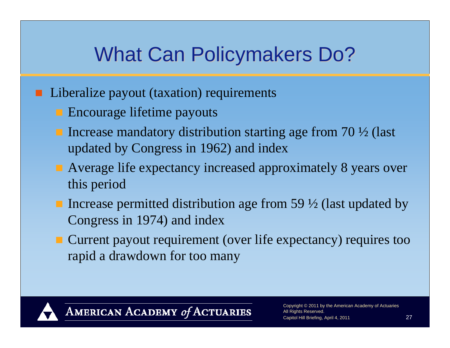## What Can Policymakers Do?

- Liberalize payout (taxation) requirements
	- **Encourage lifetime payouts**
	- Increase mandatory distribution starting age from  $70\frac{1}{2}$  (last updated by Congress in 1962) and index
	- Average life expectancy increased approximately 8 years over this period
	- Increase permitted distribution age from 59  $\frac{1}{2}$  (last updated by Congress in 1974) and index
	- Current payout requirement (over life expectancy) requires too rapid a drawdown for too many



AMERICAN ACADEMY of ACTUARIES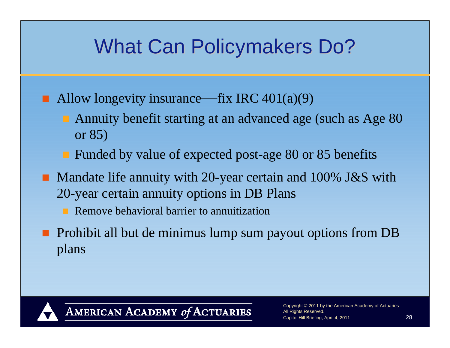## What Can Policymakers Do?

- Allow longevity insurance—fix IRC  $401(a)(9)$ 
	- Annuity benefit starting at an advanced age (such as Age 80 or 85)
	- Funded by value of expected post-age 80 or 85 benefits
- Mandate life annuity with 20-year certain and 100% J&S with 20-year certain annuity options in DB Plans
	- **Remove behavioral barrier to annuitization**
- **Prohibit all but de minimus lump sum payout options from DB** plans



AMERICAN ACADEMY of ACTUARIES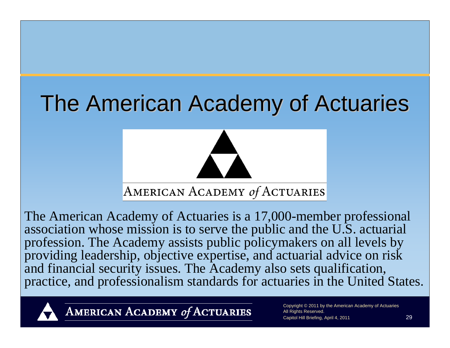# The American Academy of Actuaries



The American Academy of Actuaries is a 17,000-member professional association whose mission is to serve the public and the U.S. actuarial profession. The Academy assists public policymakers on all levels by providing leadership, objective expertise, and actuarial advice on risk and financial security issues. The Academy also sets qualification, practice, and professionalism standards for actuaries in the United States.



AMERICAN ACADEMY of ACTUARIES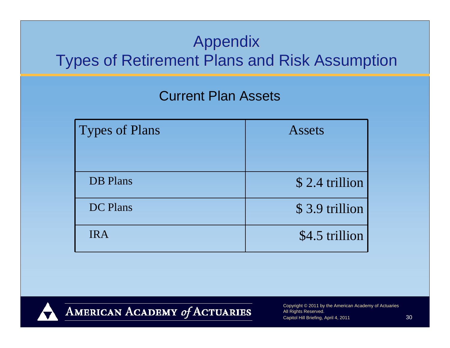#### **Appendix Types of Retirement Plans and Risk Assumption**

#### Current Plan Assets

| <b>Types of Plans</b> | <b>Assets</b>  |
|-----------------------|----------------|
|                       |                |
| <b>DB</b> Plans       | \$2.4 trillion |
| DC Plans              | \$3.9 trillion |
| <b>IRA</b>            | \$4.5 trillion |



AMERICAN ACADEMY of ACTUARIES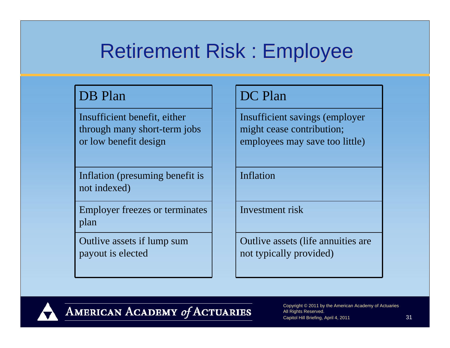### Retirement Risk : Employee

#### DB Plan DC Plan

Insufficient benefit, either through many short-term jobs or low benefit design

Inflation (presuming benefit is not indexed)

Employer freezes or terminates plan

Outlive assets if lump sum payout is elected

Insufficient savings (employer might cease contribution; employees may save too little)

Inflation

Investment risk

Outlive assets (life annuities are not typically provided)



AMERICAN ACADEMY of ACTUARIES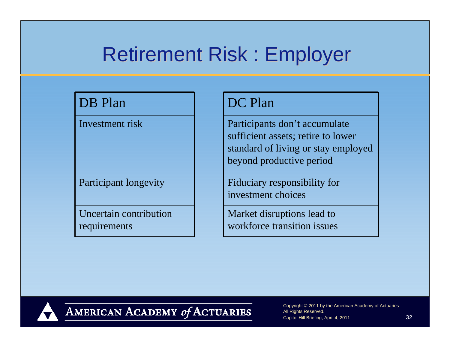#### Retirement Risk : Employer

Uncertain contribution requirements

#### DB Plan DC Plan

Investment risk  $\vert$  Participants don't accumulate sufficient assets; retire to lower standard of living or stay employed beyond productive period

Participant longevity Fiduciary responsibility for investment choices

> Market disruptions lead to workforce transition issues



AMERICAN ACADEMY of ACTUARIES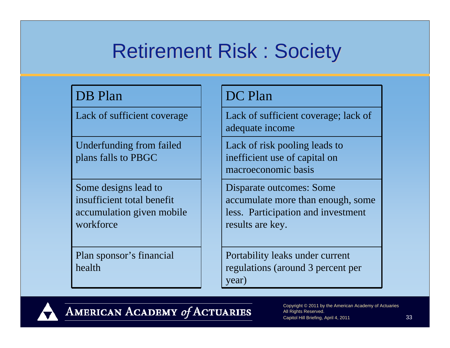## **Retirement Risk : Society**

#### DB Plan DC Plan

Underfunding from failed plans falls to PBGC

Some designs lead to insufficient total benefit accumulation given mobile workforce

Plan sponsor's financial health

Lack of sufficient coverage  $\parallel$  Lack of sufficient coverage; lack of adequate income

> Lack of risk pooling leads to inefficient use of capital on macroeconomic basis

Disparate outcomes: Some accumulate more than enough, some less. Participation and investment results are key.

Portability leaks under current regulations (around 3 percent per year)



AMERICAN ACADEMY of ACTUARIES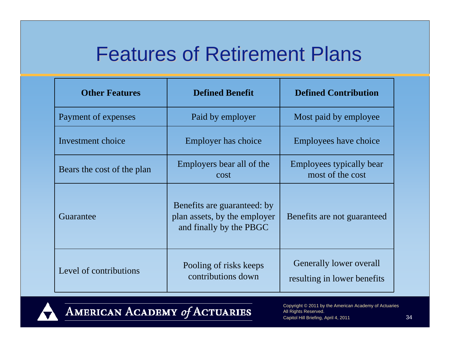#### **Features of Retirement Plans**

| <b>Other Features</b>      | <b>Defined Benefit</b>                                                                 | <b>Defined Contribution</b>                                   |  |
|----------------------------|----------------------------------------------------------------------------------------|---------------------------------------------------------------|--|
| Payment of expenses        | Paid by employer                                                                       | Most paid by employee                                         |  |
| Investment choice          | Employer has choice                                                                    | Employees have choice                                         |  |
| Bears the cost of the plan | Employers bear all of the<br>cost                                                      |                                                               |  |
| Guarantee                  | Benefits are guaranteed: by<br>plan assets, by the employer<br>and finally by the PBGC | Benefits are not guaranteed                                   |  |
| Level of contributions     | Pooling of risks keeps<br>contributions down                                           | <b>Generally lower overall</b><br>resulting in lower benefits |  |



AMERICAN ACADEMY of ACTUARIES